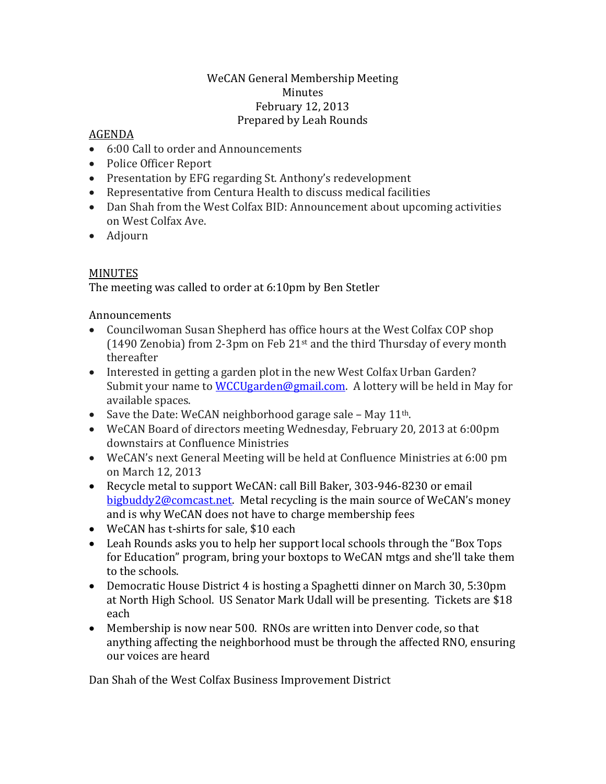#### WeCAN General Membership Meeting Minutes February 12, 2013 Prepared by Leah Rounds

#### AGENDA

- 6:00 Call to order and Announcements
- Police Officer Report
- Presentation by EFG regarding St. Anthony's redevelopment
- Representative from Centura Health to discuss medical facilities
- Dan Shah from the West Colfax BID: Announcement about upcoming activities on West Colfax Ave.
- Adjourn

# MINUTES

The meeting was called to order at 6:10pm by Ben Stetler

### Announcements

- Councilwoman Susan Shepherd has office hours at the West Colfax COP shop (1490 Zenobia) from 2-3pm on Feb 21st and the third Thursday of every month thereafter
- Interested in getting a garden plot in the new West Colfax Urban Garden? Submit your name to WCCU garden@gmail.com. A lottery will be held in May for available spaces.
- Save the Date: WeCAN neighborhood garage sale May  $11<sup>th</sup>$ .
- WeCAN Board of directors meeting Wednesday, February 20, 2013 at 6:00pm downstairs at Confluence Ministries
- WeCAN's next General Meeting will be held at Confluence Ministries at 6:00 pm on March 12, 2013
- Recycle metal to support WeCAN: call Bill Baker, 303-946-8230 or email [bigbuddy2@comcast.net.](mailto:bigbuddy2@comcast.net) Metal recycling is the main source of WeCAN's money and is why WeCAN does not have to charge membership fees
- WeCAN has t-shirts for sale, \$10 each
- Leah Rounds asks you to help her support local schools through the "Box Tops" for Education" program, bring your boxtops to WeCAN mtgs and she'll take them to the schools.
- Democratic House District 4 is hosting a Spaghetti dinner on March 30, 5:30pm at North High School. US Senator Mark Udall will be presenting. Tickets are \$18 each
- Membership is now near 500. RNOs are written into Denver code, so that anything affecting the neighborhood must be through the affected RNO, ensuring our voices are heard

Dan Shah of the West Colfax Business Improvement District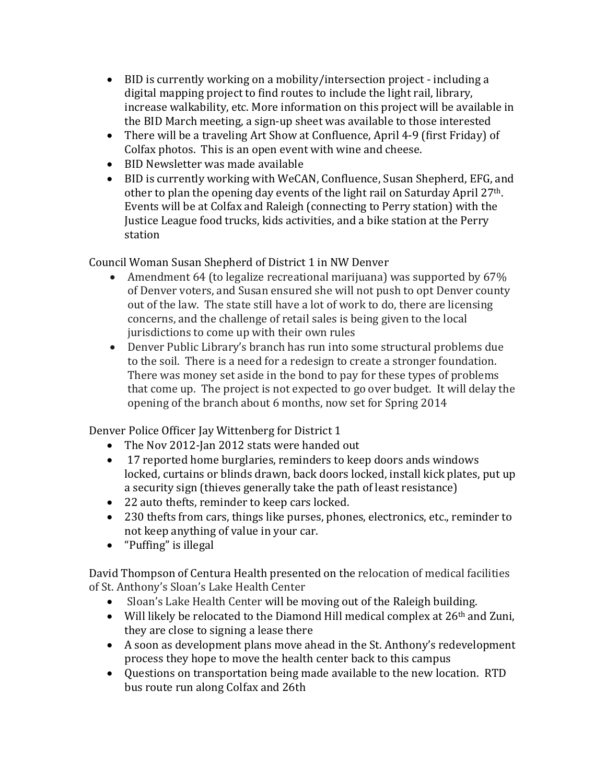- BID is currently working on a mobility/intersection project including a digital mapping project to find routes to include the light rail, library, increase walkability, etc. More information on this project will be available in the BID March meeting, a sign-up sheet was available to those interested
- There will be a traveling Art Show at Confluence, April 4-9 (first Friday) of Colfax photos. This is an open event with wine and cheese.
- BID Newsletter was made available
- BID is currently working with WeCAN, Confluence, Susan Shepherd, EFG, and other to plan the opening day events of the light rail on Saturday April 27th. Events will be at Colfax and Raleigh (connecting to Perry station) with the Justice League food trucks, kids activities, and a bike station at the Perry station

Council Woman Susan Shepherd of District 1 in NW Denver

- Amendment 64 (to legalize recreational marijuana) was supported by 67% of Denver voters, and Susan ensured she will not push to opt Denver county out of the law. The state still have a lot of work to do, there are licensing concerns, and the challenge of retail sales is being given to the local jurisdictions to come up with their own rules
- Denver Public Library's branch has run into some structural problems due to the soil. There is a need for a redesign to create a stronger foundation. There was money set aside in the bond to pay for these types of problems that come up. The project is not expected to go over budget. It will delay the opening of the branch about 6 months, now set for Spring 2014

Denver Police Officer Jay Wittenberg for District 1

- The Nov 2012-Jan 2012 stats were handed out
- 17 reported home burglaries, reminders to keep doors ands windows locked, curtains or blinds drawn, back doors locked, install kick plates, put up a security sign (thieves generally take the path of least resistance)
- 22 auto thefts, reminder to keep cars locked.
- 230 thefts from cars, things like purses, phones, electronics, etc., reminder to not keep anything of value in your car.
- "Puffing" is illegal

David Thompson of Centura Health presented on the relocation of medical facilities of St. Anthony's Sloan's Lake Health Center

- Sloan's Lake Health Center will be moving out of the Raleigh building.
- Will likely be relocated to the Diamond Hill medical complex at  $26<sup>th</sup>$  and Zuni, they are close to signing a lease there
- A soon as development plans move ahead in the St. Anthony's redevelopment process they hope to move the health center back to this campus
- Questions on transportation being made available to the new location. RTD bus route run along Colfax and 26th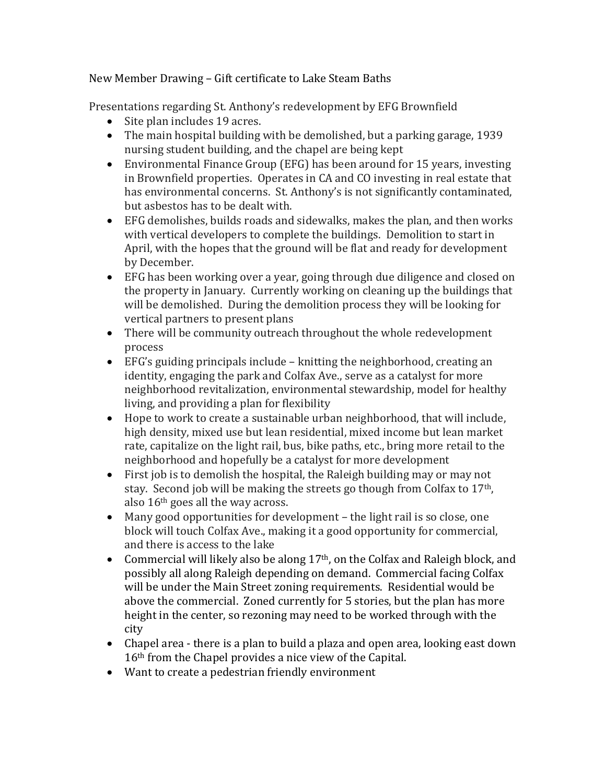# New Member Drawing – Gift certificate to Lake Steam Baths

Presentations regarding St. Anthony's redevelopment by EFG Brownfield

- Site plan includes 19 acres.
- The main hospital building with be demolished, but a parking garage, 1939 nursing student building, and the chapel are being kept
- Environmental Finance Group (EFG) has been around for 15 years, investing in Brownfield properties. Operates in CA and CO investing in real estate that has environmental concerns. St. Anthony's is not significantly contaminated, but asbestos has to be dealt with.
- EFG demolishes, builds roads and sidewalks, makes the plan, and then works with vertical developers to complete the buildings. Demolition to start in April, with the hopes that the ground will be flat and ready for development by December.
- EFG has been working over a year, going through due diligence and closed on the property in January. Currently working on cleaning up the buildings that will be demolished. During the demolition process they will be looking for vertical partners to present plans
- There will be community outreach throughout the whole redevelopment process
- EFG's guiding principals include knitting the neighborhood, creating an identity, engaging the park and Colfax Ave., serve as a catalyst for more neighborhood revitalization, environmental stewardship, model for healthy living, and providing a plan for flexibility
- Hope to work to create a sustainable urban neighborhood, that will include, high density, mixed use but lean residential, mixed income but lean market rate, capitalize on the light rail, bus, bike paths, etc., bring more retail to the neighborhood and hopefully be a catalyst for more development
- First job is to demolish the hospital, the Raleigh building may or may not stay. Second job will be making the streets go though from Colfax to 17th, also 16th goes all the way across.
- Many good opportunities for development the light rail is so close, one block will touch Colfax Ave., making it a good opportunity for commercial, and there is access to the lake
- Commercial will likely also be along 17<sup>th</sup>, on the Colfax and Raleigh block, and possibly all along Raleigh depending on demand. Commercial facing Colfax will be under the Main Street zoning requirements. Residential would be above the commercial. Zoned currently for 5 stories, but the plan has more height in the center, so rezoning may need to be worked through with the city
- Chapel area there is a plan to build a plaza and open area, looking east down 16th from the Chapel provides a nice view of the Capital.
- Want to create a pedestrian friendly environment